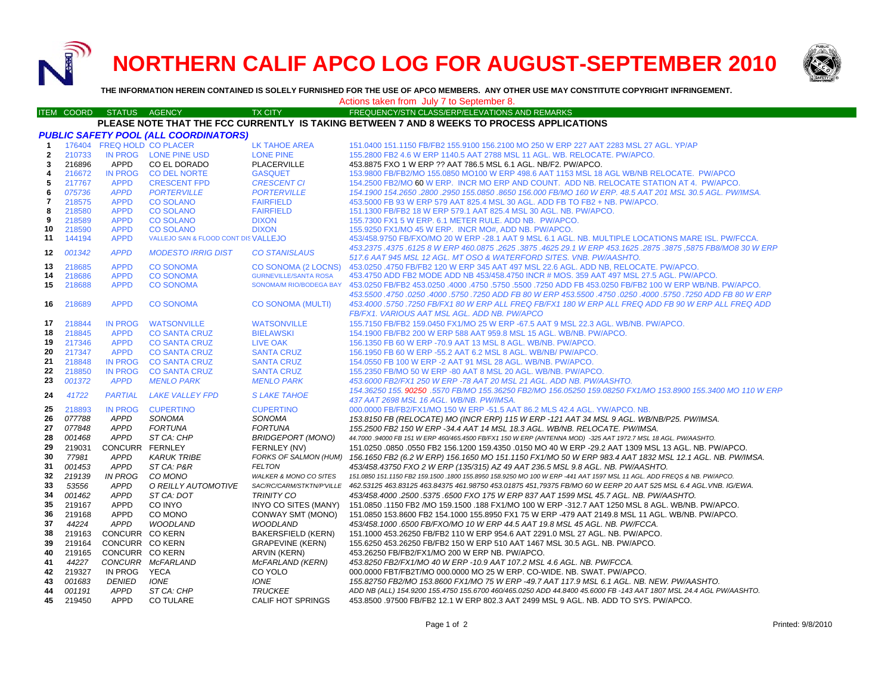**NORTHERN CALIF APCO LOG FOR AUGUST-SEPTEMBER 2010**



**THE INFORMATION HEREIN CONTAINED IS SOLELY FURNISHED FOR THE USE OF APCO MEMBERS. ANY OTHER USE MAY CONSTITUTE COPYRIGHT INFRINGEMENT.**

# Actions taken from July 7 to September 8.

#### ITEM COORD STATUS AGENCY TX CITY TIREQUENCY/STN CLASS/ERP/ELEVATIONS AND REMARKS **PLEASE NOTE THAT THE FCC CURRENTLY IS TAKING BETWEEN 7 AND 8 WEEKS TO PROCESS APPLICATIONS**

| <b>PUBLIC SAFETY POOL (ALL COORDINATORS)</b> |        |                 |                                     |                                   |                                                                                                                        |  |
|----------------------------------------------|--------|-----------------|-------------------------------------|-----------------------------------|------------------------------------------------------------------------------------------------------------------------|--|
| $\mathbf{1}$                                 |        |                 | 176404 FREQ HOLD CO PLACER          | <b>LK TAHOE AREA</b>              | 151.0400 151.1150 FB/FB2 155.9100 156.2100 MO 250 W ERP 227 AAT 2283 MSL 27 AGL, YP/AP                                 |  |
| $\mathbf{2}$                                 | 210733 | <b>IN PROG</b>  | <b>LONE PINE USD</b>                | <b>LONE PINE</b>                  | 155.2800 FB2 4.6 W ERP 1140.5 AAT 2788 MSL 11 AGL. WB. RELOCATE. PW/APCO.                                              |  |
| 3                                            | 216896 | APPD            | CO EL DORADO                        | <b>PLACERVILLE</b>                | 453.8875 FXO 1 W ERP ?? AAT 786.5 MSL 6.1 AGL, NB/F2, PW/APCO.                                                         |  |
| 4                                            | 216672 | <b>IN PROG</b>  | <b>CO DEL NORTE</b>                 | <b>GASQUET</b>                    | 153.9800 FB/FB2/MO 155.0850 MO100 W ERP 498.6 AAT 1153 MSL 18 AGL WB/NB RELOCATE. PW/APCO                              |  |
| 5                                            | 217767 | <b>APPD</b>     | <b>CRESCENT FPD</b>                 | <b>CRESCENT CI</b>                | 154.2500 FB2/MO 60 W ERP. INCR MO ERP AND COUNT. ADD NB. RELOCATE STATION AT 4. PW/APCO.                               |  |
| 6                                            | 075736 | <b>APPD</b>     | <b>PORTERVILLE</b>                  | <b>PORTERVILLE</b>                | 154.1900 154.2650 .2800 .2950 155.0850 .8650 156.000 FB/MO 160 W ERP, 48.5 AAT 201 MSL 30.5 AGL, PW/IMSA.              |  |
| 7                                            | 218575 | <b>APPD</b>     | <b>CO SOLANO</b>                    | <b>FAIRFIELD</b>                  | 453,5000 FB 93 W ERP 579 AAT 825.4 MSL 30 AGL, ADD FB TO FB2 + NB, PW/APCO,                                            |  |
| 8                                            | 218580 | <b>APPD</b>     | <b>CO SOLANO</b>                    | <b>FAIRFIELD</b>                  | 151.1300 FB/FB2 18 W ERP 579.1 AAT 825.4 MSL 30 AGL, NB, PW/APCO,                                                      |  |
| 9                                            | 218589 | <b>APPD</b>     | <b>CO SOLANO</b>                    | <b>DIXON</b>                      | 155.7300 FX1 5 W ERP. 6.1 METER RULE. ADD NB. PW/APCO.                                                                 |  |
| 10                                           | 218590 | <b>APPD</b>     | <b>CO SOLANO</b>                    | <b>DIXON</b>                      | 155.9250 FX1/MO 45 W ERP. INCR MO#, ADD NB. PW/APCO.                                                                   |  |
| 11                                           | 144194 | <b>APPD</b>     | VALLEJO SAN & FLOOD CONT DISVALLEJO |                                   | 453/458.9750 FB/FXO/MO 20 W ERP -28.1 AAT 9 MSL 6.1 AGL. NB. MULTIPLE LOCATIONS MARE ISL. PW/FCCA.                     |  |
| 12 <sup>1</sup>                              | 001342 | <b>APPD</b>     | <b>MODESTO IRRIG DIST</b>           | <b>CO STANISLAUS</b>              | 453.2375 .4375 .6875 FB8/MO8 30 W ERP 460.0875 .2625 .3875 .4625 29.1 W ERP 453.1625 .2875 .5875 FB8/MO8 30 W ERP      |  |
|                                              |        |                 |                                     |                                   | 517.6 AAT 945 MSL 12 AGL. MT OSO & WATERFORD SITES. VNB. PW/AASHTO.                                                    |  |
| 13                                           | 218685 | <b>APPD</b>     | <b>CO SONOMA</b>                    | CO SONOMA (2 LOCNS)               | 453.0250 .4750 FB/FB2 120 W ERP 345 AAT 497 MSL 22.6 AGL. ADD NB, RELOCATE. PW/APCO.                                   |  |
| 14                                           | 218686 | <b>APPD</b>     | <b>CO SONOMA</b>                    | <b>GURNEVILLE/SANTA ROSA</b>      | 453.4750 ADD FB2 MODE ADD NB 453/458.4750 INCR # MOS. 359 AAT 497 MSL 27.5 AGL. PW/APCO.                               |  |
| 15                                           | 218688 | <b>APPD</b>     | <b>CO SONOMA</b>                    | <b>SONOMA/M RIO/BODEGA BAY</b>    | .4750 .4000 .4750 .5750 .5500 .7250 ADD FB 453.0250 FB/FB2 100 W ERP WB/NB. PW/APCO .4750 .5750 .5500                  |  |
|                                              |        |                 |                                     |                                   | 453,5500 .4750 .0250 .0250 .4000 .5750 .0250 .4750 .0250 .4750 .6750 .5750 .5750 .5750 .0250 .0250 .0250 .4750         |  |
| 16                                           | 218689 | <b>APPD</b>     | <b>CO SONOMA</b>                    | <b>CO SONOMA (MULTI)</b>          | 453.4000 .5750 .7250 FB/FX1 80 W ERP ALL FREQ FB/FX1 180 W ERP ALL FREQ ADD FB 90 W ERP ALL FREQ ADD                   |  |
|                                              |        |                 |                                     |                                   | <b>FB/FX1. VARIOUS AAT MSL AGL. ADD NB. PW/APCO</b>                                                                    |  |
| 17                                           | 218844 | <b>IN PROG</b>  | <b>WATSONVILLE</b>                  | <b>WATSONVILLE</b>                | 155.7150 FB/FB2 159.0450 FX1/MO 25 W ERP -67.5 AAT 9 MSL 22.3 AGL. WB/NB. PW/APCO.                                     |  |
| 18                                           | 218845 | <b>APPD</b>     | <b>CO SANTA CRUZ</b>                | <b>BIELAWSKI</b>                  | 154.1900 FB/FB2 200 W ERP 588 AAT 959.8 MSL 15 AGL, WB/NB, PW/APCO.                                                    |  |
| 19                                           | 217346 | <b>APPD</b>     | <b>CO SANTA CRUZ</b>                | LIVE OAK                          | 156.1350 FB 60 W ERP -70.9 AAT 13 MSL 8 AGL. WB/NB. PW/APCO.                                                           |  |
| 20                                           | 217347 | <b>APPD</b>     | <b>CO SANTA CRUZ</b>                | <b>SANTA CRUZ</b>                 | 156.1950 FB 60 W ERP -55.2 AAT 6.2 MSL 8 AGL, WB/NB/ PW/APCO.                                                          |  |
| 21                                           | 218848 | <b>IN PROG</b>  | <b>CO SANTA CRUZ</b>                | <b>SANTA CRUZ</b>                 | 154.0550 FB 100 W ERP -2 AAT 91 MSL 28 AGL. WB/NB. PW/APCO.                                                            |  |
| 22                                           | 218850 | <b>IN PROG</b>  | <b>CO SANTA CRUZ</b>                | <b>SANTA CRUZ</b>                 | 155,2350 FB/MO 50 W ERP -80 AAT 8 MSL 20 AGL, WB/NB, PW/APCO.                                                          |  |
| 23                                           | 001372 | <b>APPD</b>     | <b>MENLO PARK</b>                   | <b>MENLO PARK</b>                 | 453.6000 FB2/FX1 250 W ERP -78 AAT 20 MSL 21 AGL, ADD NB, PW/AASHTO,                                                   |  |
| 24                                           | 41722  | <b>PARTIAL</b>  | <b>LAKE VALLEY FPD</b>              | <b>SLAKE TAHOE</b>                | 154.36250 155, 90250 .5570 FB/MO 155.36250 FB2/MO 156.05250 159.08250 FX1/MO 153.8900 155.3400 MO 110 W ERP            |  |
|                                              |        |                 |                                     |                                   | 437 AAT 2698 MSL 16 AGL, WB/NB, PW/IMSA,                                                                               |  |
| 25                                           | 218893 | <b>IN PROG</b>  | <b>CUPERTINO</b>                    | <b>CUPERTINO</b>                  | 000.0000 FB/FB2/FX1/MO 150 W ERP -51.5 AAT 86.2 MLS 42.4 AGL. YW/APCO. NB.                                             |  |
| 26                                           | 077788 | <b>APPD</b>     | SONOMA                              | SONOMA                            | 153.8150 FB (RELOCATE) MO (INCR ERP) 115 W ERP -121 AAT 34 MSL 9 AGL. WB/NB/P25. PW/IMSA.                              |  |
| 27                                           | 077848 | <b>APPD</b>     | <b>FORTUNA</b>                      | <b>FORTUNA</b>                    | 155.2500 FB2 150 W ERP -34.4 AAT 14 MSL 18.3 AGL. WB/NB. RELOCATE. PW/IMSA.                                            |  |
| 28                                           | 001468 | <b>APPD</b>     | ST CA: CHP                          | <b>BRIDGEPORT (MONO)</b>          | 44.7000 .94000 FB 151 W ERP 460/465.4500 FB/FX1 150 W ERP (ANTENNA MOD) -325 AAT 1972.7 MSL 18 AGL. PW/AASHTO.         |  |
| 29                                           | 219031 | CONCURR FERNLEY |                                     | FERNLEY (NV)                      | 151.0250 .0850 .0550 FB2 156.1200 159.4350 .0150 MO 40 W ERP -29.2 AAT 1309 MSL 13 AGL. NB. PW/APCO.                   |  |
| 30                                           | 77981  | <b>APPD</b>     | <b>KARUK TRIBE</b>                  | FORKS OF SALMON (HUM)             | 156.1650 FB2 (6.2 W ERP) 156.1650 MO 151.1150 FX1/MO 50 W ERP 983.4 AAT 1832 MSL 12.1 AGL. NB. PW/IMSA.                |  |
| 31                                           | 001453 | APPD            | ST CA: P&R                          | <b>FELTON</b>                     | 453/458.43750 FXO 2 W ERP (135/315) AZ 49 AAT 236.5 MSL 9.8 AGL. NB. PW/AASHTO.                                        |  |
| 32                                           | 219139 | <b>IN PROG</b>  | CO MONO                             | <b>WALKER &amp; MONO CO SITES</b> | 151.0850 151.1150 FB2 159.1500 .1800 155.8950 158.9250 MO 100 W ERP -441 AAT 1597 MSL 11 AGL. ADD FREQS & NB. PW/APCO. |  |
| 33                                           | 53556  | <b>APPD</b>     | O REILLY AUTOMOTIVE                 | SAC/RC/CARM/STKTN/P'VILLE         | .462.53125 463.83125 463.84375 461.98750 453.01875 451.79375 FB/MO 60 W EERP 20 AAT 525 MSL 6.4 AGL.VNB. IG/EWA        |  |
| 34                                           | 001462 | <b>APPD</b>     | ST CA: DOT                          | <b>TRINITY CO</b>                 | 453/458.4000 .2500 .5375 .6500 FXO 175 W ERP 837 AAT 1599 MSL 45.7 AGL. NB. PW/AASHTO.                                 |  |
| 35                                           | 219167 | <b>APPD</b>     | CO INYO                             | INYO CO SITES (MANY)              | 151.0850 .1150 FB2 /MO 159.1500 .188 FX1/MO 100 W ERP -312.7 AAT 1250 MSL 8 AGL. WB/NB. PW/APCO.                       |  |
| 36                                           | 219168 | <b>APPD</b>     | CO MONO                             | CONWAY SMT (MONO)                 | 151.0850 153.8600 FB2 154.1000 155.8950 FX1 75 W ERP -479 AAT 2149.8 MSL 11 AGL. WB/NB. PW/APCO.                       |  |
| 37                                           | 44224  | <b>APPD</b>     | <b>WOODLAND</b>                     | <b>WOODLAND</b>                   | 453/458.1000 .6500 FB/FXO/MO 10 W ERP 44.5 AAT 19.8 MSL 45 AGL. NB. PW/FCCA.                                           |  |
| 38                                           | 219163 | CONCURR CO KERN |                                     | BAKERSFIELD (KERN)                | 151.1000 453.26250 FB/FB2 110 W ERP 954.6 AAT 2291.0 MSL 27 AGL. NB. PW/APCO.                                          |  |
| 39                                           | 219164 | CONCURR CO KERN |                                     | <b>GRAPEVINE (KERN)</b>           | 155.6250 453.26250 FB/FB2 150 W ERP 510 AAT 1467 MSL 30.5 AGL, NB, PW/APCO,                                            |  |
| 40                                           | 219165 | CONCURR CO KERN |                                     | ARVIN (KERN)                      | 453.26250 FB/FB2/FX1/MO 200 W ERP NB, PW/APCO,                                                                         |  |
| 41                                           | 44227  |                 | CONCURR McFARLAND                   | McFARLAND (KERN)                  | 453.8250 FB2/FX1/MO 40 W ERP -10.9 AAT 107.2 MSL 4.6 AGL. NB. PW/FCCA.                                                 |  |
| 42                                           | 219327 | IN PROG         | <b>YECA</b>                         | CO YOLO                           | 000.0000 FBT/FB2T/MO 000.0000 MO 25 W ERP. CO-WIDE. NB. SWAT. PW/APCO.                                                 |  |
| 43                                           | 001683 | <b>DENIED</b>   | <b>IONE</b>                         | <b>IONE</b>                       | 155.82750 FB2/MO 153.8600 FX1/MO 75 W ERP -49.7 AAT 117.9 MSL 6.1 AGL. NB. NEW. PW/AASHTO.                             |  |
| 44                                           | 001191 | <b>APPD</b>     | ST CA: CHP                          | <b>TRUCKEE</b>                    | ADD NB (ALL) 154.9200 155.4750 155.6700 460/465.0250 ADD 44.8400 45.6000 FB -143 AAT 1807 MSL 24.4 AGL PW/AASHTO.      |  |
| 45                                           | 219450 | <b>APPD</b>     | <b>CO TULARE</b>                    | <b>CALIF HOT SPRINGS</b>          | 453.8500 .97500 FB/FB2 12.1 W ERP 802.3 AAT 2499 MSL 9 AGL. NB. ADD TO SYS. PW/APCO.                                   |  |